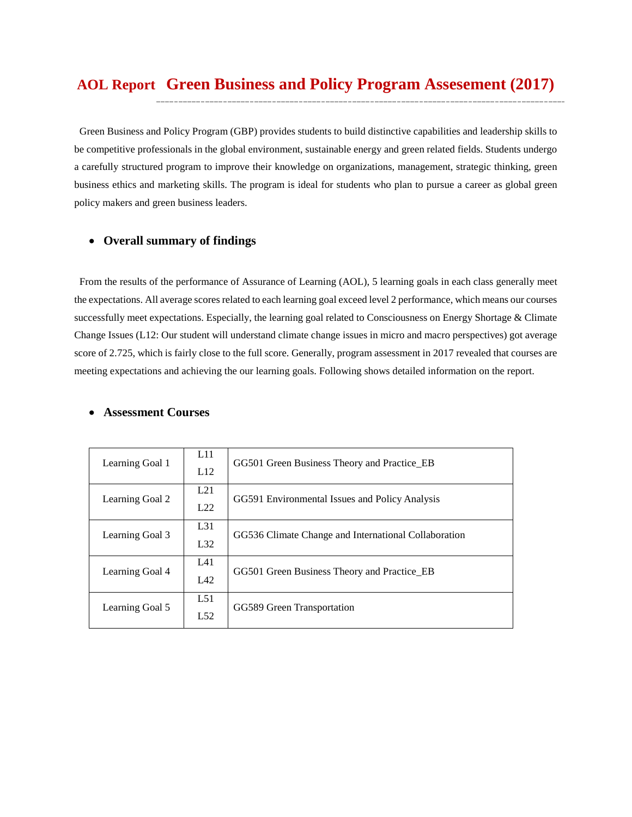# **Green Business and Policy Program Assesement (2017) AOL Report**

Green Business and Policy Program (GBP) provides students to build distinctive capabilities and leadership skills to be competitive professionals in the global environment, sustainable energy and green related fields. Students undergo a carefully structured program to improve their knowledge on organizations, management, strategic thinking, green business ethics and marketing skills. The program is ideal for students who plan to pursue a career as global green policy makers and green business leaders.

#### • **Overall summary of findings**

From the results of the performance of Assurance of Learning (AOL), 5 learning goals in each class generally meet the expectations. All average scores related to each learning goal exceed level 2 performance, which means our courses successfully meet expectations. Especially, the learning goal related to Consciousness on Energy Shortage & Climate Change Issues (L12: Our student will understand climate change issues in micro and macro perspectives) got average score of 2.725, which is fairly close to the full score. Generally, program assessment in 2017 revealed that courses are meeting expectations and achieving the our learning goals. Following shows detailed information on the report.

#### • **Assessment Courses**

| Learning Goal 1 | L11<br>L12 | GG501 Green Business Theory and Practice_EB          |
|-----------------|------------|------------------------------------------------------|
| Learning Goal 2 | L21<br>L22 | GG591 Environmental Issues and Policy Analysis       |
| Learning Goal 3 | L31<br>L32 | GG536 Climate Change and International Collaboration |
| Learning Goal 4 | L41<br>L42 | GG501 Green Business Theory and Practice EB          |
| Learning Goal 5 | L51<br>L52 | GG589 Green Transportation                           |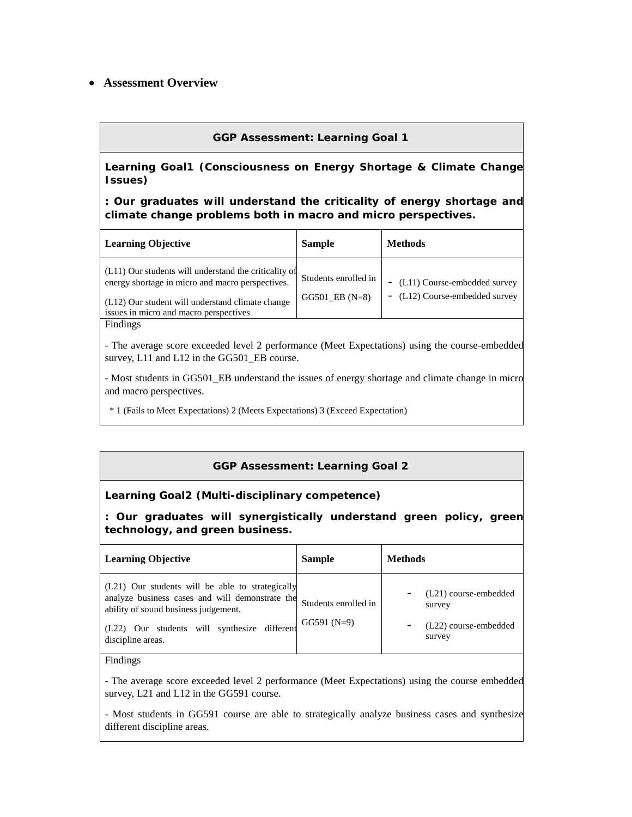## • **Assessment Overview**

## **GGP Assessment: Learning Goal 1**

**Learning Goal1 (Consciousness on Energy Shortage & Climate Change Issues)**

**: Our graduates will understand the criticality of energy shortage and climate change problems both in macro and micro perspectives.**

| <b>Learning Objective</b>                                                                                                                                                                               | <b>Sample</b>                              | <b>Methods</b>                                                   |
|---------------------------------------------------------------------------------------------------------------------------------------------------------------------------------------------------------|--------------------------------------------|------------------------------------------------------------------|
| (L11) Our students will understand the criticality of<br>energy shortage in micro and macro perspectives.<br>(L12) Our student will understand climate change<br>issues in micro and macro perspectives | Students enrolled in<br>$GG501$ EB $(N=8)$ | - (L11) Course-embedded survey<br>- (L12) Course-embedded survey |
| Findings                                                                                                                                                                                                |                                            |                                                                  |

- The average score exceeded level 2 performance (Meet Expectations) using the course-embedded survey, L11 and L12 in the GG501\_EB course.

- Most students in GG501\_EB understand the issues of energy shortage and climate change in micro and macro perspectives.

\* 1 (Fails to Meet Expectations) 2 (Meets Expectations) 3 (Exceed Expectation)

### **GGP Assessment: Learning Goal 2**

#### **Learning Goal2 (Multi-disciplinary competence)**

**: Our graduates will synergistically understand green policy, green technology, and green business.**

| Learning Objective                                                                                                                                                                                               | <b>Sample</b>                        | <b>Methods</b>                                                     |
|------------------------------------------------------------------------------------------------------------------------------------------------------------------------------------------------------------------|--------------------------------------|--------------------------------------------------------------------|
| (L21) Our students will be able to strategically<br>analyze business cases and will demonstrate the<br>ability of sound business judgement.<br>(L22) Our students will synthesize different<br>discipline areas. | Students enrolled in<br>$GG591(N=9)$ | (L21) course-embedded<br>survey<br>(L22) course-embedded<br>survey |

Findings

- The average score exceeded level 2 performance (Meet Expectations) using the course embedded survey, L21 and L12 in the GG591 course.

- Most students in GG591 course are able to strategically analyze business cases and synthesize different discipline areas.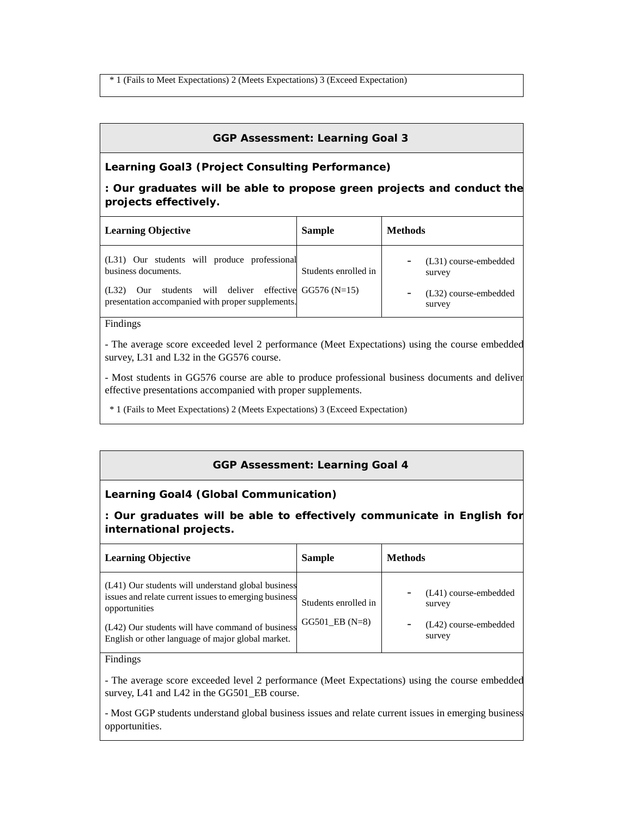\* 1 (Fails to Meet Expectations) 2 (Meets Expectations) 3 (Exceed Expectation)

### **GGP Assessment: Learning Goal 3**

#### **Learning Goal3 (Project Consulting Performance)**

### **: Our graduates will be able to propose green projects and conduct the projects effectively.**

| <b>Learning Objective</b>                                                                                                                                                              | <b>Sample</b>        | <b>Methods</b>                                                     |
|----------------------------------------------------------------------------------------------------------------------------------------------------------------------------------------|----------------------|--------------------------------------------------------------------|
| (L31) Our students will produce professional<br>business documents.<br>Our students will deliver effective $GG576(N=15)$<br>(L32)<br>presentation accompanied with proper supplements. | Students enrolled in | (L31) course-embedded<br>survey<br>(L32) course-embedded<br>survey |

#### Findings

- The average score exceeded level 2 performance (Meet Expectations) using the course embedded survey, L31 and L32 in the GG576 course.

- Most students in GG576 course are able to produce professional business documents and deliver effective presentations accompanied with proper supplements.

\* 1 (Fails to Meet Expectations) 2 (Meets Expectations) 3 (Exceed Expectation)

### **GGP Assessment: Learning Goal 4**

#### **Learning Goal4 (Global Communication)**

**: Our graduates will be able to effectively communicate in English for international projects.**

| <b>Learning Objective</b>                                                                                                                                                                                                             | <b>Sample</b>                              | <b>Methods</b>                                                     |
|---------------------------------------------------------------------------------------------------------------------------------------------------------------------------------------------------------------------------------------|--------------------------------------------|--------------------------------------------------------------------|
| (L41) Our students will understand global business<br>issues and relate current issues to emerging business<br>opportunities<br>(L42) Our students will have command of business<br>English or other language of major global market. | Students enrolled in<br>$GG501$ EB $(N=8)$ | (L41) course-embedded<br>survey<br>(L42) course-embedded<br>survey |

Findings

- The average score exceeded level 2 performance (Meet Expectations) using the course embedded survey, L41 and L42 in the GG501\_EB course.

- Most GGP students understand global business issues and relate current issues in emerging business opportunities.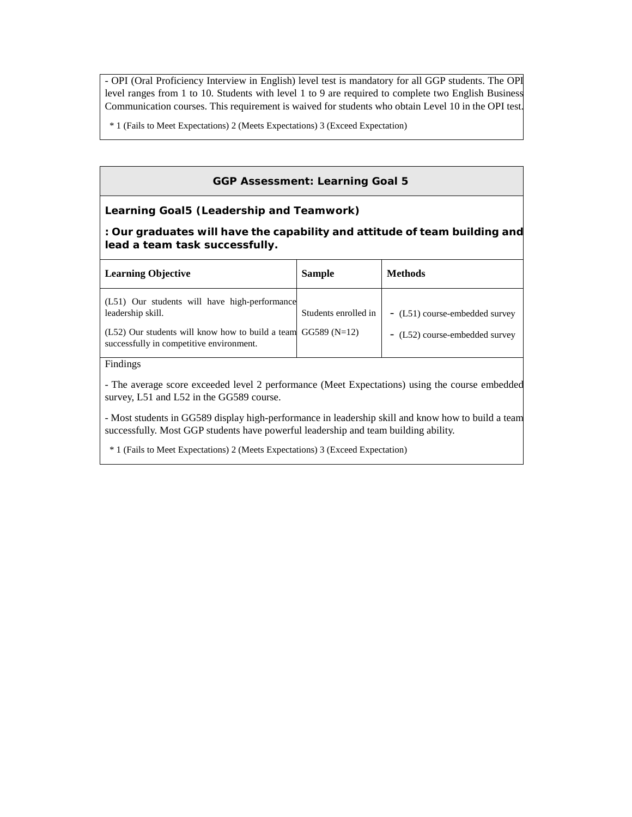- OPI (Oral Proficiency Interview in English) level test is mandatory for all GGP students. The OPI level ranges from 1 to 10. Students with level 1 to 9 are required to complete two English Business Communication courses. This requirement is waived for students who obtain Level 10 in the OPI test.

\* 1 (Fails to Meet Expectations) 2 (Meets Expectations) 3 (Exceed Expectation)

## **GGP Assessment: Learning Goal 5**

## **Learning Goal5 (Leadership and Teamwork)**

**: Our graduates will have the capability and attitude of team building and lead a team task successfully.**

| <b>Learning Objective</b>                                                                    | <b>Sample</b>        | <b>Methods</b>                 |
|----------------------------------------------------------------------------------------------|----------------------|--------------------------------|
| (L51) Our students will have high-performance<br>leadership skill.                           | Students enrolled in | - (L51) course-embedded survey |
| (L52) Our students will know how to build a team<br>successfully in competitive environment. | $GG589(N=12)$        | - (L52) course-embedded survey |
| Findings                                                                                     |                      |                                |

- The average score exceeded level 2 performance (Meet Expectations) using the course embedded survey, L51 and L52 in the GG589 course.

- Most students in GG589 display high-performance in leadership skill and know how to build a team successfully. Most GGP students have powerful leadership and team building ability.

\* 1 (Fails to Meet Expectations) 2 (Meets Expectations) 3 (Exceed Expectation)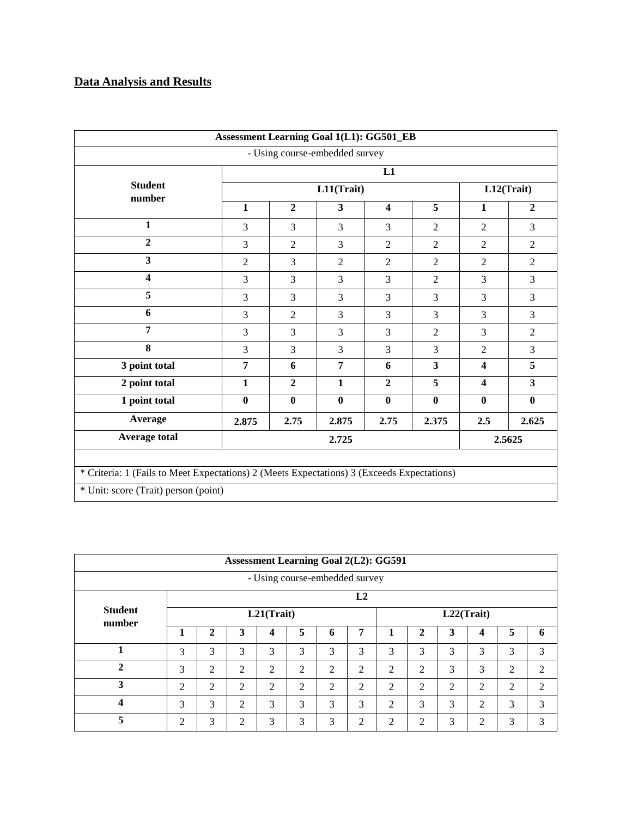## **Data Analysis and Results**

|                                                                                            | <b>Assessment Learning Goal 1(L1): GG501_EB</b> |                |                                |                         |                |                         |                         |  |  |  |  |
|--------------------------------------------------------------------------------------------|-------------------------------------------------|----------------|--------------------------------|-------------------------|----------------|-------------------------|-------------------------|--|--|--|--|
|                                                                                            |                                                 |                | - Using course-embedded survey |                         |                |                         |                         |  |  |  |  |
|                                                                                            | L1                                              |                |                                |                         |                |                         |                         |  |  |  |  |
| <b>Student</b><br>number                                                                   |                                                 | L12(Trait)     |                                |                         |                |                         |                         |  |  |  |  |
|                                                                                            | $\mathbf{1}$                                    | $\overline{2}$ | $\overline{\mathbf{3}}$        | $\overline{\mathbf{4}}$ | 5              | $\mathbf{1}$            | $\overline{2}$          |  |  |  |  |
| $\mathbf{1}$                                                                               | 3                                               | 3              | 3                              | 3                       | $\overline{2}$ | $\overline{2}$          | 3                       |  |  |  |  |
| $\overline{2}$                                                                             | 3                                               | $\overline{2}$ | 3                              | $\overline{2}$          | $\overline{2}$ | $\overline{2}$          | $\overline{2}$          |  |  |  |  |
| $\overline{\mathbf{3}}$                                                                    | $\overline{2}$                                  | 3              | $\overline{2}$                 | $\overline{2}$          | $\overline{2}$ | $\overline{2}$          | $\overline{2}$          |  |  |  |  |
| $\overline{\mathbf{4}}$                                                                    | 3                                               | 3              | 3                              | 3                       | $\overline{2}$ | 3                       | 3                       |  |  |  |  |
| 5                                                                                          | 3                                               | 3              | 3                              | 3                       | 3              | 3                       | $\overline{3}$          |  |  |  |  |
| 6                                                                                          | 3                                               | 2              | $\overline{3}$                 | 3                       | 3              | $\overline{3}$          | $\overline{3}$          |  |  |  |  |
| 7                                                                                          | $\overline{3}$                                  | $\overline{3}$ | $\overline{3}$                 | 3                       | $\overline{2}$ | $\overline{3}$          | $\overline{2}$          |  |  |  |  |
| 8                                                                                          | 3                                               | 3              | 3                              | 3                       | 3              | $\overline{2}$          | 3                       |  |  |  |  |
| 3 point total                                                                              | $\overline{7}$                                  | 6              | 7                              | 6                       | 3              | $\overline{\mathbf{4}}$ | 5                       |  |  |  |  |
| 2 point total                                                                              | $\mathbf{1}$                                    | $\overline{2}$ | $\mathbf{1}$                   | $\overline{2}$          | 5              | $\overline{\mathbf{4}}$ | $\overline{\mathbf{3}}$ |  |  |  |  |
| 1 point total                                                                              | $\bf{0}$                                        | $\bf{0}$       | $\bf{0}$                       | $\mathbf{0}$            | $\bf{0}$       | $\mathbf{0}$            | $\mathbf{0}$            |  |  |  |  |
| Average                                                                                    | 2.875                                           | 2.75           | 2.875                          | 2.75                    | 2.375          | 2.5                     | 2.625                   |  |  |  |  |
| <b>Average total</b>                                                                       |                                                 |                | 2.725                          |                         |                |                         | 2.5625                  |  |  |  |  |
| * Criteria: 1 (Fails to Meet Expectations) 2 (Meets Expectations) 3 (Exceeds Expectations) |                                                 |                |                                |                         |                |                         |                         |  |  |  |  |
| * Unit: score (Trait) person (point)                                                       |                                                 |                |                                |                         |                |                         |                         |  |  |  |  |
|                                                                                            |                                                 |                |                                |                         |                |                         |                         |  |  |  |  |

|                             |   |              |                |                                |   |   |                | <b>Assessment Learning Goal 2(L2): GG591</b> |                |                |            |   |                |
|-----------------------------|---|--------------|----------------|--------------------------------|---|---|----------------|----------------------------------------------|----------------|----------------|------------|---|----------------|
|                             |   |              |                | - Using course-embedded survey |   |   |                |                                              |                |                |            |   |                |
|                             |   |              |                |                                |   |   | L2             |                                              |                |                |            |   |                |
| <b>Student</b><br>number    |   |              |                | L21(Trait)                     |   |   |                |                                              |                |                | L22(Trait) |   |                |
|                             | 1 | $\mathbf{2}$ | 3              | 4                              | 5 | 6 | 7              |                                              | 2              | 3              | 4          | 5 | 6              |
|                             | 3 | 3            | 3              | 3                              | 3 | 3 | 3              | 3                                            | 3              | 3              | 3          | 3 | 3              |
| $\mathcal{D}_{\mathcal{L}}$ | 3 | 2            | 2              | 2                              | 2 | 2 | 2              | 2                                            | 2              | 3              | 3          | 2 | 2              |
| 3                           | 2 | 2            | $\overline{2}$ | 2                              | 2 | 2 | $\overline{2}$ | 2                                            | 2              | $\overline{2}$ | 2          | 2 | $\mathfrak{D}$ |
| Δ                           | 3 | 3            | $\overline{2}$ | 3                              | 3 | 3 | 3              | 2                                            | 3              | 3              | 2          | 3 | 3              |
| 5                           | 2 | 3            | 2              | 3                              | 3 | 3 | 2              | ↑                                            | $\overline{2}$ | 3              | ◠          | 3 | 3              |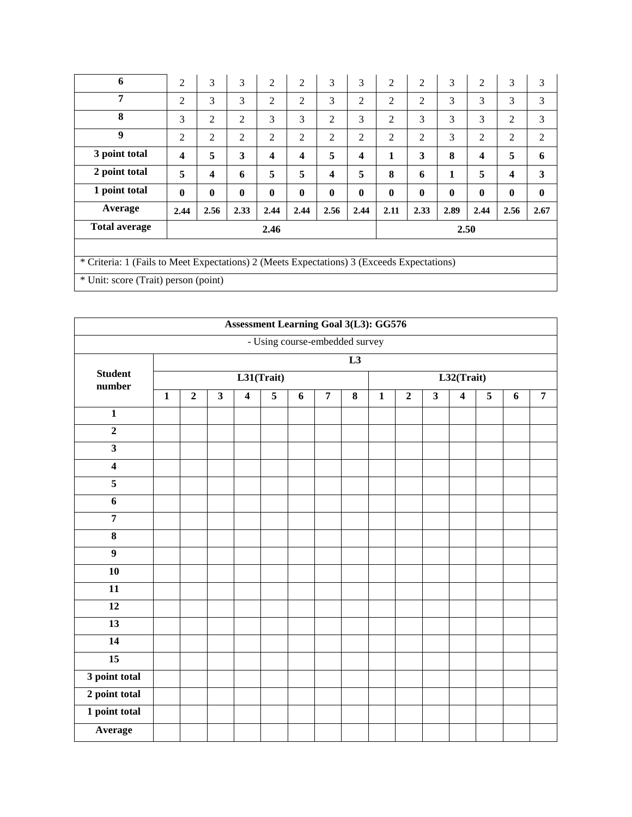| 6                                                                                          | $\overline{c}$   | 3              | 3            | 2                       | $\overline{2}$          | 3                       | 3        | $\overline{2}$ | 2            | 3        | $\overline{2}$          | 3                       | 3        |
|--------------------------------------------------------------------------------------------|------------------|----------------|--------------|-------------------------|-------------------------|-------------------------|----------|----------------|--------------|----------|-------------------------|-------------------------|----------|
| 7                                                                                          | 2                | 3              | 3            | 2                       | $\overline{2}$          | 3                       | 2        | 2              | 2            | 3        | 3                       | 3                       | 3        |
| 8                                                                                          | 3                | $\overline{2}$ | 2            | 3                       | 3                       | 2                       | 3        | $\overline{c}$ | 3            | 3        | 3                       | 2                       | 3        |
| 9                                                                                          | 2                | $\overline{2}$ | 2            | 2                       | $\overline{2}$          | 2                       | 2        | $\overline{c}$ | 2            | 3        | 2                       | 2                       | 2        |
| 3 point total                                                                              | $\boldsymbol{4}$ | 5              | 3            | $\overline{\mathbf{4}}$ | $\overline{\mathbf{4}}$ | 5                       | 4        | 1              | 3            | 8        | $\overline{\mathbf{4}}$ | 5                       | 6        |
| 2 point total                                                                              | 5                | 4              | 6            | 5                       | 5                       | $\overline{\mathbf{4}}$ | 5        | 8              | 6            | 1        | 5                       | $\overline{\mathbf{4}}$ | 3        |
| 1 point total                                                                              | $\mathbf{0}$     | $\mathbf{0}$   | $\mathbf{0}$ | $\bf{0}$                | $\bf{0}$                | $\mathbf{0}$            | $\bf{0}$ | $\mathbf{0}$   | $\mathbf{0}$ | $\bf{0}$ | $\mathbf{0}$            | $\bf{0}$                | $\bf{0}$ |
|                                                                                            |                  |                |              |                         |                         |                         |          |                |              |          |                         |                         |          |
| Average                                                                                    | 2.44             | 2.56           | 2.33         | 2.44                    | 2.44                    | 2.56                    | 2.44     | 2.11           | 2.33         | 2.89     | 2.44                    | 2.56                    | 2.67     |
| <b>Total average</b>                                                                       |                  |                |              | 2.46                    |                         |                         |          |                |              | 2.50     |                         |                         |          |
|                                                                                            |                  |                |              |                         |                         |                         |          |                |              |          |                         |                         |          |
| * Criteria: 1 (Fails to Meet Expectations) 2 (Meets Expectations) 3 (Exceeds Expectations) |                  |                |              |                         |                         |                         |          |                |              |          |                         |                         |          |

|                          |              |                |                         |                         | <b>Assessment Learning Goal 3(L3): GG576</b> |   |                |                         |              |                |                         |                         |                |   |                |
|--------------------------|--------------|----------------|-------------------------|-------------------------|----------------------------------------------|---|----------------|-------------------------|--------------|----------------|-------------------------|-------------------------|----------------|---|----------------|
|                          |              |                |                         |                         | - Using course-embedded survey               |   |                |                         |              |                |                         |                         |                |   |                |
|                          |              |                |                         |                         |                                              |   |                | L3                      |              |                |                         |                         |                |   |                |
| <b>Student</b><br>number |              |                |                         |                         | L31(Trait)                                   |   |                |                         |              |                |                         | L32(Trait)              |                |   |                |
|                          | $\mathbf{1}$ | $\overline{2}$ | $\overline{\mathbf{3}}$ | $\overline{\mathbf{4}}$ | $\overline{5}$                               | 6 | $\overline{7}$ | $\overline{\mathbf{8}}$ | $\mathbf{1}$ | $\overline{2}$ | $\overline{\mathbf{3}}$ | $\overline{\mathbf{4}}$ | $\overline{5}$ | 6 | $\overline{7}$ |
| $\mathbf{1}$             |              |                |                         |                         |                                              |   |                |                         |              |                |                         |                         |                |   |                |
| $\overline{2}$           |              |                |                         |                         |                                              |   |                |                         |              |                |                         |                         |                |   |                |
| $\overline{\mathbf{3}}$  |              |                |                         |                         |                                              |   |                |                         |              |                |                         |                         |                |   |                |
| $\overline{\mathbf{4}}$  |              |                |                         |                         |                                              |   |                |                         |              |                |                         |                         |                |   |                |
| $\overline{\mathbf{5}}$  |              |                |                         |                         |                                              |   |                |                         |              |                |                         |                         |                |   |                |
| $\overline{6}$           |              |                |                         |                         |                                              |   |                |                         |              |                |                         |                         |                |   |                |
| $\overline{7}$           |              |                |                         |                         |                                              |   |                |                         |              |                |                         |                         |                |   |                |
| $\pmb{8}$                |              |                |                         |                         |                                              |   |                |                         |              |                |                         |                         |                |   |                |
| $\overline{9}$           |              |                |                         |                         |                                              |   |                |                         |              |                |                         |                         |                |   |                |
| 10                       |              |                |                         |                         |                                              |   |                |                         |              |                |                         |                         |                |   |                |
| 11                       |              |                |                         |                         |                                              |   |                |                         |              |                |                         |                         |                |   |                |
| $\overline{12}$          |              |                |                         |                         |                                              |   |                |                         |              |                |                         |                         |                |   |                |
| $\overline{13}$          |              |                |                         |                         |                                              |   |                |                         |              |                |                         |                         |                |   |                |
| $\overline{14}$          |              |                |                         |                         |                                              |   |                |                         |              |                |                         |                         |                |   |                |
| $\overline{15}$          |              |                |                         |                         |                                              |   |                |                         |              |                |                         |                         |                |   |                |
| 3 point total            |              |                |                         |                         |                                              |   |                |                         |              |                |                         |                         |                |   |                |
| 2 point total            |              |                |                         |                         |                                              |   |                |                         |              |                |                         |                         |                |   |                |
| 1 point total            |              |                |                         |                         |                                              |   |                |                         |              |                |                         |                         |                |   |                |
| Average                  |              |                |                         |                         |                                              |   |                |                         |              |                |                         |                         |                |   |                |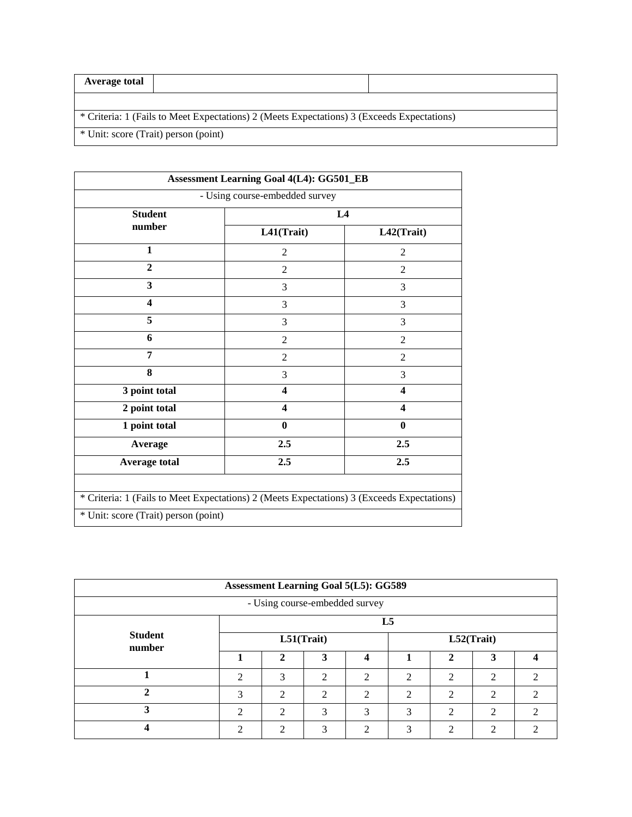| Average total                        |                                                                                            |  |
|--------------------------------------|--------------------------------------------------------------------------------------------|--|
|                                      |                                                                                            |  |
|                                      | * Criteria: 1 (Fails to Meet Expectations) 2 (Meets Expectations) 3 (Exceeds Expectations) |  |
| * Unit: score (Trait) person (point) |                                                                                            |  |

|                                                                                            | - Using course-embedded survey |                         |  |  |
|--------------------------------------------------------------------------------------------|--------------------------------|-------------------------|--|--|
| <b>Student</b>                                                                             |                                | L4                      |  |  |
| number                                                                                     | L41(Trait)                     | L42(Trait)              |  |  |
| $\mathbf{1}$                                                                               | $\overline{2}$                 | 2                       |  |  |
| $\overline{2}$                                                                             | $\overline{c}$                 | $\overline{2}$          |  |  |
| 3                                                                                          | 3                              | 3                       |  |  |
| $\overline{\mathbf{4}}$                                                                    | 3                              | 3                       |  |  |
| 5                                                                                          | 3                              | 3                       |  |  |
| 6                                                                                          | $\overline{2}$                 | $\mathfrak{2}$          |  |  |
| 7                                                                                          | $\overline{2}$                 | $\overline{2}$          |  |  |
| 8                                                                                          | 3                              | 3                       |  |  |
| 3 point total                                                                              | $\overline{\mathbf{4}}$        | $\overline{\mathbf{4}}$ |  |  |
| 2 point total                                                                              | 4                              | $\overline{\mathbf{4}}$ |  |  |
| 1 point total                                                                              | $\bf{0}$                       | $\mathbf{0}$            |  |  |
| Average                                                                                    | 2.5                            | 2.5                     |  |  |
| <b>Average total</b>                                                                       | 2.5                            | 2.5                     |  |  |
|                                                                                            |                                |                         |  |  |
| * Criteria: 1 (Fails to Meet Expectations) 2 (Meets Expectations) 3 (Exceeds Expectations) |                                |                         |  |  |

| <b>Assessment Learning Goal 5(L5): GG589</b> |                             |                             |                             |                             |                |                |                             |                             |  |  |  |  |
|----------------------------------------------|-----------------------------|-----------------------------|-----------------------------|-----------------------------|----------------|----------------|-----------------------------|-----------------------------|--|--|--|--|
| - Using course-embedded survey               |                             |                             |                             |                             |                |                |                             |                             |  |  |  |  |
| <b>Student</b><br>number                     | L <sub>5</sub>              |                             |                             |                             |                |                |                             |                             |  |  |  |  |
|                                              | L51(Trait)                  |                             |                             |                             | L52(Trait)     |                |                             |                             |  |  |  |  |
|                                              |                             | $\mathbf{2}$                | 3                           |                             |                | $\mathbf{2}$   | 3                           |                             |  |  |  |  |
|                                              | $\mathcal{D}_{\mathcal{A}}$ | 3                           | $\mathfrak{D}$              | $\mathfrak{D}$              | $\mathfrak{D}$ | $\overline{2}$ | $\mathcal{D}_{\mathcal{L}}$ | $\mathcal{D}_{\mathcal{A}}$ |  |  |  |  |
| ◠                                            | 3                           | $\mathcal{D}$               | $\mathcal{D}_{\mathcal{L}}$ | $\mathcal{D}_{\mathcal{L}}$ | $\mathfrak{D}$ | $\mathcal{D}$  | ∍                           | $\mathcal{D}$               |  |  |  |  |
| 3                                            | $\mathcal{D}$               | $\mathcal{D}_{\mathcal{L}}$ | $\mathcal{R}$               | 3                           | 3              | $\mathcal{D}$  | ∍                           | $\mathcal{D}_{\mathcal{L}}$ |  |  |  |  |
|                                              | ↑                           | ↑                           | $\mathbf{R}$                | ↑                           | 3              | C              | ◠                           | ↑                           |  |  |  |  |